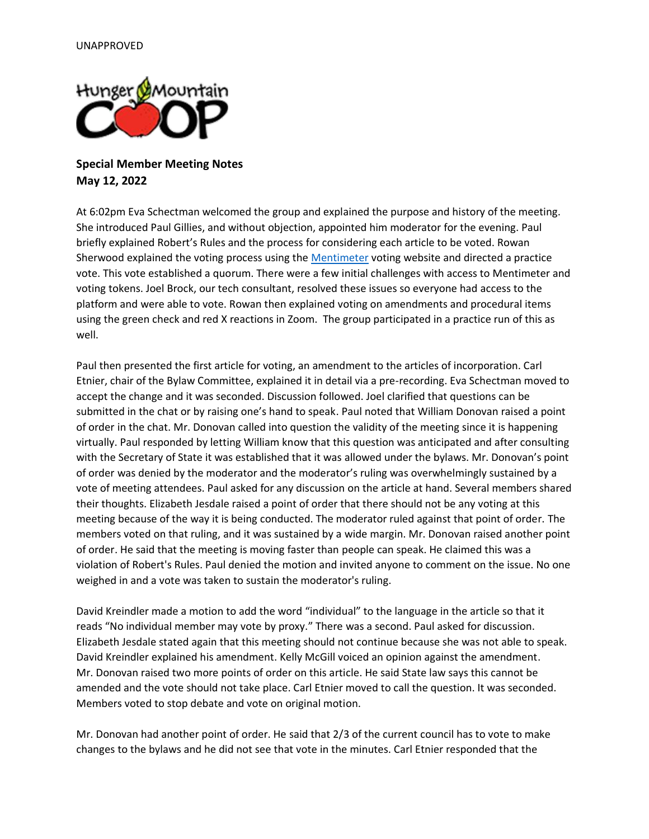

## **Special Member Meeting Notes May 12, 2022**

At 6:02pm Eva Schectman welcomed the group and explained the purpose and history of the meeting. She introduced Paul Gillies, and without objection, appointed him moderator for the evening. Paul briefly explained Robert's Rules and the process for considering each article to be voted. Rowan Sherwood explained the voting process using the [Mentimeter](https://www.mentimeter.com/?utm_campaign=first%20page&utm_medium=web-link&utm_source=govote&utm_content=&utm_term=&_ga=2.225944978.968828261.1654006837-1734632394.1654006837&_gl=1*yqopl7*_ga*MTczNDYzMjM5NC4xNjU0MDA2ODM3*_ga_TCT6BBBKGN*MTY1NDAwNjg0MS4xLjAuMTY1NDAwNjg0MS4w) voting website and directed a practice vote. This vote established a quorum. There were a few initial challenges with access to Mentimeter and voting tokens. Joel Brock, our tech consultant, resolved these issues so everyone had access to the platform and were able to vote. Rowan then explained voting on amendments and procedural items using the green check and red X reactions in Zoom. The group participated in a practice run of this as well.

Paul then presented the first article for voting, an amendment to the articles of incorporation. Carl Etnier, chair of the Bylaw Committee, explained it in detail via a pre-recording. Eva Schectman moved to accept the change and it was seconded. Discussion followed. Joel clarified that questions can be submitted in the chat or by raising one's hand to speak. Paul noted that William Donovan raised a point of order in the chat. Mr. Donovan called into question the validity of the meeting since it is happening virtually. Paul responded by letting William know that this question was anticipated and after consulting with the Secretary of State it was established that it was allowed under the bylaws. Mr. Donovan's point of order was denied by the moderator and the moderator's ruling was overwhelmingly sustained by a vote of meeting attendees. Paul asked for any discussion on the article at hand. Several members shared their thoughts. Elizabeth Jesdale raised a point of order that there should not be any voting at this meeting because of the way it is being conducted. The moderator ruled against that point of order. The members voted on that ruling, and it was sustained by a wide margin. Mr. Donovan raised another point of order. He said that the meeting is moving faster than people can speak. He claimed this was a violation of Robert's Rules. Paul denied the motion and invited anyone to comment on the issue. No one weighed in and a vote was taken to sustain the moderator's ruling.

David Kreindler made a motion to add the word "individual" to the language in the article so that it reads "No individual member may vote by proxy." There was a second. Paul asked for discussion. Elizabeth Jesdale stated again that this meeting should not continue because she was not able to speak. David Kreindler explained his amendment. Kelly McGill voiced an opinion against the amendment. Mr. Donovan raised two more points of order on this article. He said State law says this cannot be amended and the vote should not take place. Carl Etnier moved to call the question. It was seconded. Members voted to stop debate and vote on original motion.

Mr. Donovan had another point of order. He said that 2/3 of the current council has to vote to make changes to the bylaws and he did not see that vote in the minutes. Carl Etnier responded that the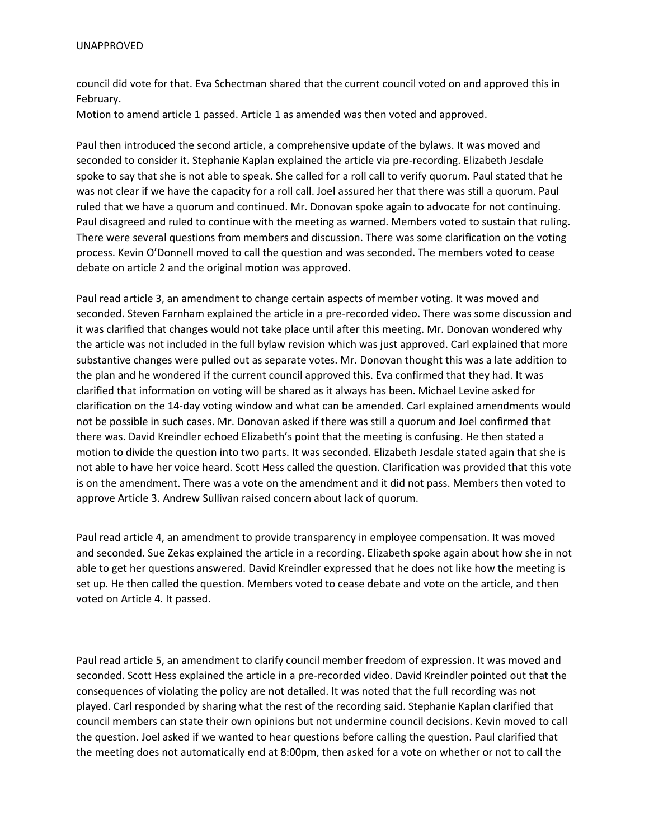council did vote for that. Eva Schectman shared that the current council voted on and approved this in February.

Motion to amend article 1 passed. Article 1 as amended was then voted and approved.

Paul then introduced the second article, a comprehensive update of the bylaws. It was moved and seconded to consider it. Stephanie Kaplan explained the article via pre-recording. Elizabeth Jesdale spoke to say that she is not able to speak. She called for a roll call to verify quorum. Paul stated that he was not clear if we have the capacity for a roll call. Joel assured her that there was still a quorum. Paul ruled that we have a quorum and continued. Mr. Donovan spoke again to advocate for not continuing. Paul disagreed and ruled to continue with the meeting as warned. Members voted to sustain that ruling. There were several questions from members and discussion. There was some clarification on the voting process. Kevin O'Donnell moved to call the question and was seconded. The members voted to cease debate on article 2 and the original motion was approved.

Paul read article 3, an amendment to change certain aspects of member voting. It was moved and seconded. Steven Farnham explained the article in a pre-recorded video. There was some discussion and it was clarified that changes would not take place until after this meeting. Mr. Donovan wondered why the article was not included in the full bylaw revision which was just approved. Carl explained that more substantive changes were pulled out as separate votes. Mr. Donovan thought this was a late addition to the plan and he wondered if the current council approved this. Eva confirmed that they had. It was clarified that information on voting will be shared as it always has been. Michael Levine asked for clarification on the 14-day voting window and what can be amended. Carl explained amendments would not be possible in such cases. Mr. Donovan asked if there was still a quorum and Joel confirmed that there was. David Kreindler echoed Elizabeth's point that the meeting is confusing. He then stated a motion to divide the question into two parts. It was seconded. Elizabeth Jesdale stated again that she is not able to have her voice heard. Scott Hess called the question. Clarification was provided that this vote is on the amendment. There was a vote on the amendment and it did not pass. Members then voted to approve Article 3. Andrew Sullivan raised concern about lack of quorum.

Paul read article 4, an amendment to provide transparency in employee compensation. It was moved and seconded. Sue Zekas explained the article in a recording. Elizabeth spoke again about how she in not able to get her questions answered. David Kreindler expressed that he does not like how the meeting is set up. He then called the question. Members voted to cease debate and vote on the article, and then voted on Article 4. It passed.

Paul read article 5, an amendment to clarify council member freedom of expression. It was moved and seconded. Scott Hess explained the article in a pre-recorded video. David Kreindler pointed out that the consequences of violating the policy are not detailed. It was noted that the full recording was not played. Carl responded by sharing what the rest of the recording said. Stephanie Kaplan clarified that council members can state their own opinions but not undermine council decisions. Kevin moved to call the question. Joel asked if we wanted to hear questions before calling the question. Paul clarified that the meeting does not automatically end at 8:00pm, then asked for a vote on whether or not to call the